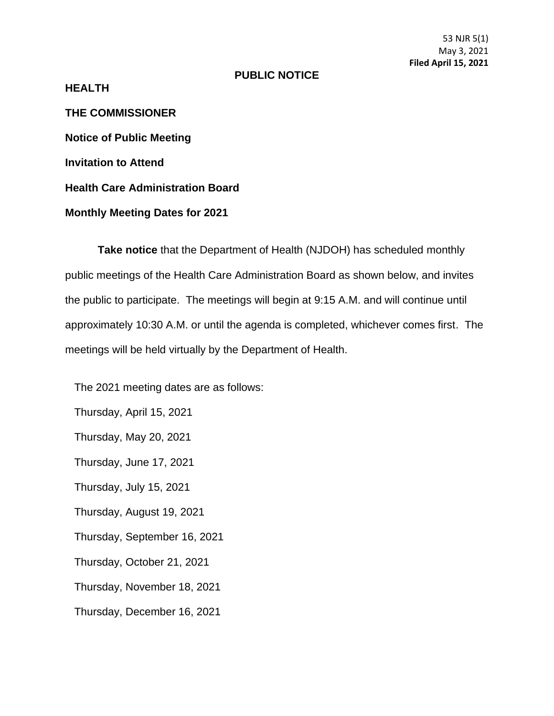53 NJR 5(1) May 3, 2021 **Filed April 15, 2021**

## **PUBLIC NOTICE**

**HEALTH**

**THE COMMISSIONER Notice of Public Meeting Invitation to Attend Health Care Administration Board Monthly Meeting Dates for 2021**

**Take notice** that the Department of Health (NJDOH) has scheduled monthly public meetings of the Health Care Administration Board as shown below, and invites the public to participate. The meetings will begin at 9:15 A.M. and will continue until approximately 10:30 A.M. or until the agenda is completed, whichever comes first. The meetings will be held virtually by the Department of Health.

The 2021 meeting dates are as follows:

Thursday, April 15, 2021

Thursday, May 20, 2021

Thursday, June 17, 2021

Thursday, July 15, 2021

Thursday, August 19, 2021

Thursday, September 16, 2021

Thursday, October 21, 2021

Thursday, November 18, 2021

Thursday, December 16, 2021